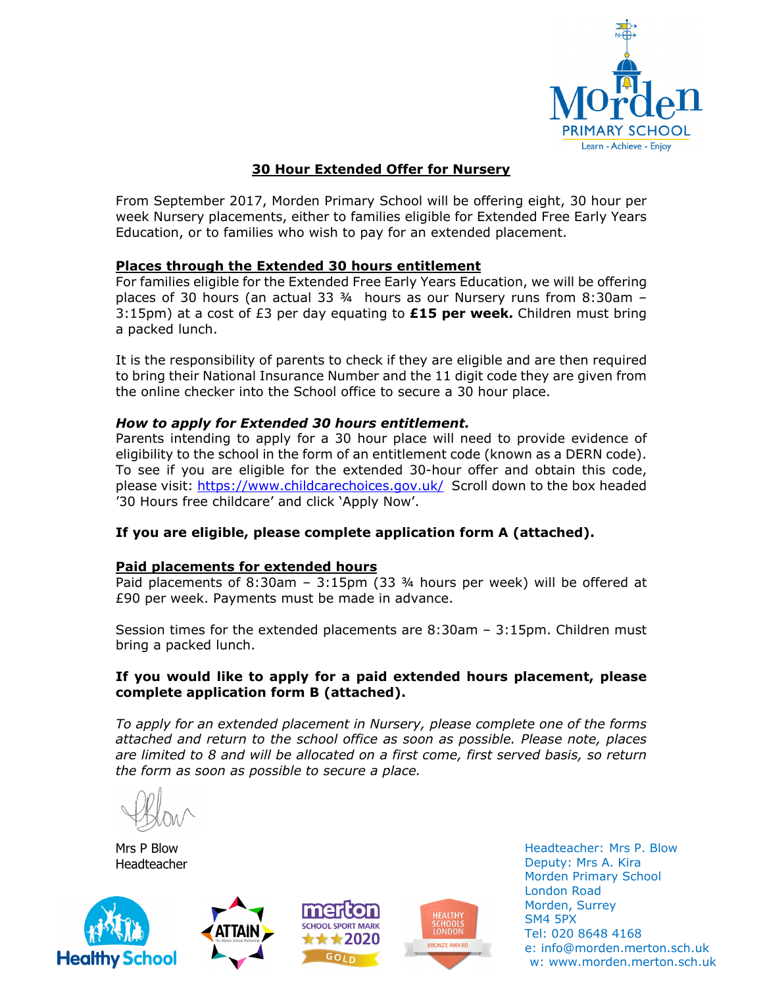

## **30 Hour Extended Offer for Nursery**

From September 2017, Morden Primary School will be offering eight, 30 hour per week Nursery placements, either to families eligible for Extended Free Early Years Education, or to families who wish to pay for an extended placement.

### **Places through the Extended 30 hours entitlement**

For families eligible for the Extended Free Early Years Education, we will be offering places of 30 hours (an actual 33 ¾ hours as our Nursery runs from 8:30am – 3:15pm) at a cost of £3 per day equating to **£15 per week.** Children must bring a packed lunch.

It is the responsibility of parents to check if they are eligible and are then required to bring their National Insurance Number and the 11 digit code they are given from the online checker into the School office to secure a 30 hour place.

#### *How to apply for Extended 30 hours entitlement.*

Parents intending to apply for a 30 hour place will need to provide evidence of eligibility to the school in the form of an entitlement code (known as a DERN code). To see if you are eligible for the extended 30-hour offer and obtain this code, please visit: https://www.childcarechoices.gov.uk/ Scroll down to the box headed '30 Hours free childcare' and click 'Apply Now'.

### **If you are eligible, please complete application form A (attached).**

#### **Paid placements for extended hours**

Paid placements of 8:30am – 3:15pm (33 ¾ hours per week) will be offered at £90 per week. Payments must be made in advance.

Session times for the extended placements are 8:30am – 3:15pm. Children must bring a packed lunch.

#### **If you would like to apply for a paid extended hours placement, please complete application form B (attached).**

*To apply for an extended placement in Nursery, please complete one of the forms attached and return to the school office as soon as possible. Please note, places are limited to 8 and will be allocated on a first come, first served basis, so return the form as soon as possible to secure a place.* 

Mrs P Blow Headteacher









Headteacher: Mrs P. Blow Deputy: Mrs A. Kira Morden Primary School London Road Morden, Surrey SM4 5PX Tel: 020 8648 4168 e: info@morden.merton.sch.uk w: www.morden.merton.sch.uk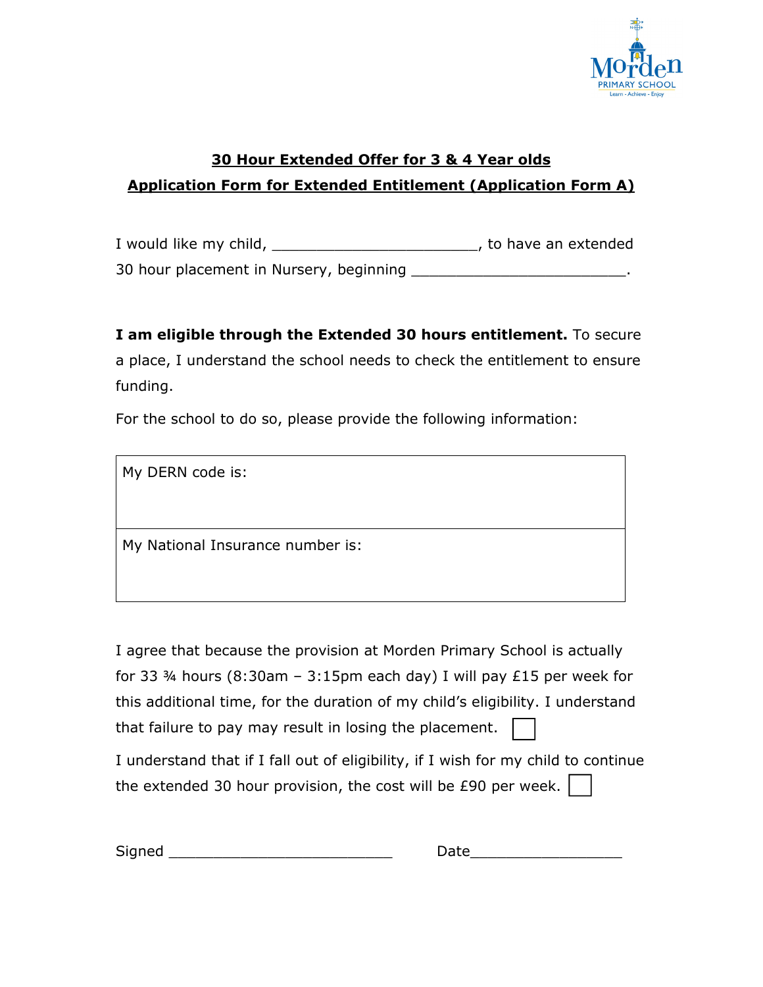

# **30 Hour Extended Offer for 3 & 4 Year olds Application Form for Extended Entitlement (Application Form A)**

I would like my child, \_\_\_\_\_\_\_\_\_\_\_\_\_\_\_\_\_\_\_\_\_\_\_\_\_\_\_\_, to have an extended 30 hour placement in Nursery, beginning \_\_\_\_\_\_\_\_\_\_\_\_\_\_\_\_\_\_\_\_\_\_\_\_.

**I am eligible through the Extended 30 hours entitlement.** To secure a place, I understand the school needs to check the entitlement to ensure funding.

For the school to do so, please provide the following information:

My DERN code is:

My National Insurance number is:

I agree that because the provision at Morden Primary School is actually for 33  $\frac{3}{4}$  hours (8:30am – 3:15pm each day) I will pay £15 per week for this additional time, for the duration of my child's eligibility. I understand that failure to pay may result in losing the placement.

I understand that if I fall out of eligibility, if I wish for my child to continue the extended 30 hour provision, the cost will be £90 per week.

| $\overline{\phantom{0}}$<br>. .<br>_ |  |
|--------------------------------------|--|
|--------------------------------------|--|